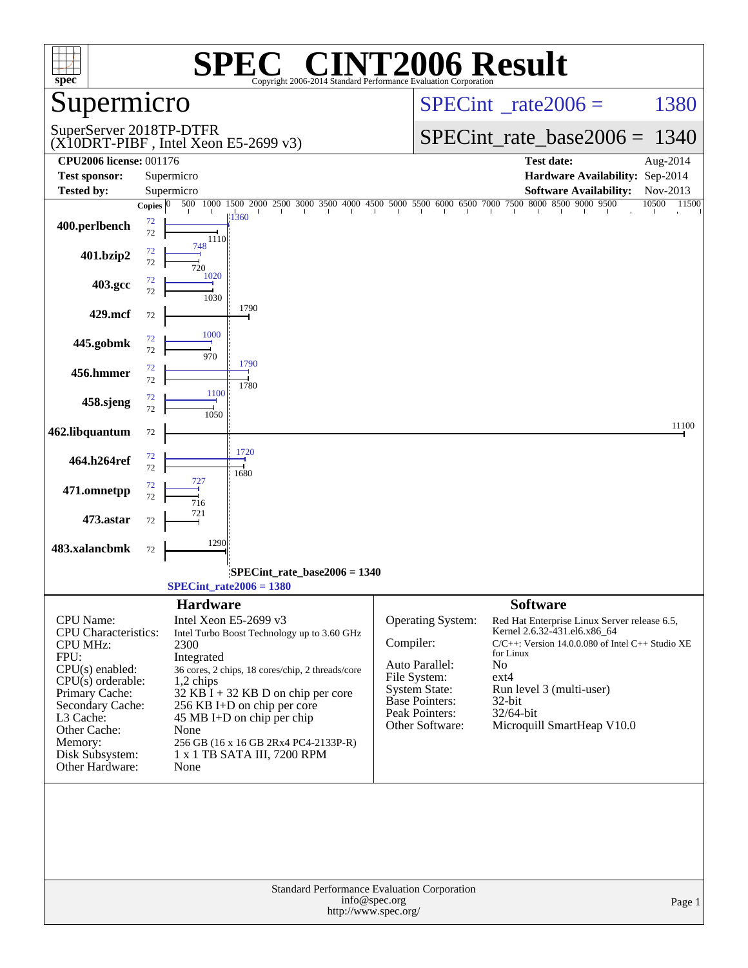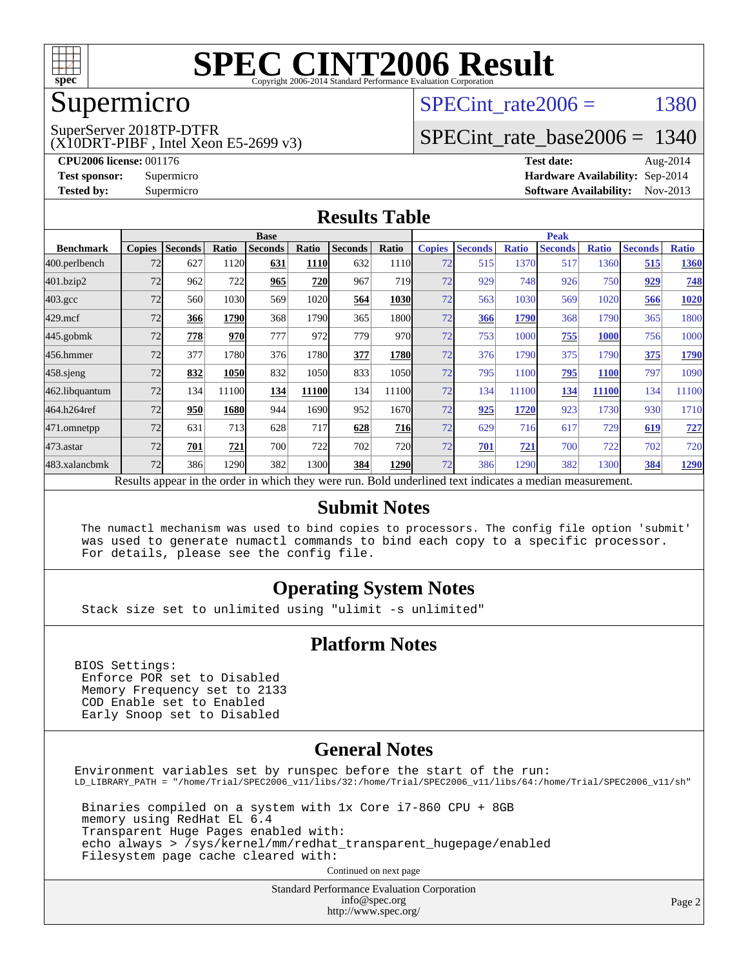

#### Supermicro

#### SuperServer 2018TP-DTFR

(X10DRT-PIBF , Intel Xeon E5-2699 v3)

SPECint rate $2006 = 1380$ 

#### [SPECint\\_rate\\_base2006 =](http://www.spec.org/auto/cpu2006/Docs/result-fields.html#SPECintratebase2006) 1340

**[CPU2006 license:](http://www.spec.org/auto/cpu2006/Docs/result-fields.html#CPU2006license)** 001176 **[Test date:](http://www.spec.org/auto/cpu2006/Docs/result-fields.html#Testdate)** Aug-2014 **[Test sponsor:](http://www.spec.org/auto/cpu2006/Docs/result-fields.html#Testsponsor)** Supermicro Supermicro **[Hardware Availability:](http://www.spec.org/auto/cpu2006/Docs/result-fields.html#HardwareAvailability)** Sep-2014 **[Tested by:](http://www.spec.org/auto/cpu2006/Docs/result-fields.html#Testedby)** Supermicro **Supermicro [Software Availability:](http://www.spec.org/auto/cpu2006/Docs/result-fields.html#SoftwareAvailability)** Nov-2013

#### **[Results Table](http://www.spec.org/auto/cpu2006/Docs/result-fields.html#ResultsTable)**

|                    | <b>Base</b>   |                |            |                |             |                                                                                                          |            | <b>Peak</b>   |                |              |                |              |                |              |
|--------------------|---------------|----------------|------------|----------------|-------------|----------------------------------------------------------------------------------------------------------|------------|---------------|----------------|--------------|----------------|--------------|----------------|--------------|
| <b>Benchmark</b>   | <b>Copies</b> | <b>Seconds</b> | Ratio      | <b>Seconds</b> | Ratio       | <b>Seconds</b>                                                                                           | Ratio      | <b>Copies</b> | <b>Seconds</b> | <b>Ratio</b> | <b>Seconds</b> | <b>Ratio</b> | <b>Seconds</b> | <b>Ratio</b> |
| 400.perlbench      | 72            | 627            | 1120       | 631            | <b>1110</b> | 632                                                                                                      | 1110       | 72            | 515            | 1370         | 517            | 1360         | 515            | 1360         |
| 401.bzip2          | 72            | 962            | 722        | 965            | 720         | 967                                                                                                      | <b>719</b> | 72            | 929            | 748          | 926            | 750          | 929            | 748          |
| $403.\mathrm{gcc}$ | 72            | 560            | 1030       | 569            | 1020        | 564                                                                                                      | 1030       | 72            | 563            | 1030         | 569            | 1020         | 566            | 1020         |
| $429$ .mcf         | 72            | 366            | 1790       | 368            | 1790        | 365                                                                                                      | 1800       | 72            | 366            | 1790         | 368            | 1790         | 365            | 1800         |
| $445$ .gobmk       | 72            | 778            | <b>970</b> | 777            | 972         | 779                                                                                                      | 970        | 72            | 753            | 1000         | 755            | 1000         | 756            | 1000         |
| 456.hmmer          | 72            | 377            | 1780       | 376            | 1780        | 377                                                                                                      | 1780       | 72            | 376            | 1790         | 375            | 1790         | 375            | 1790         |
| $458$ .sjeng       | 72            | 832            | 1050       | 832            | 1050        | 833                                                                                                      | 1050       | 72            | 795            | 1100         | 795            | <b>1100</b>  | 797            | 1090         |
| 462.libquantum     | 72            | 134            | 11100      | 134            | 11100       | 134                                                                                                      | 11100      | 72            | 134            | 11100        | 134            | 11100        | 134            | 11100        |
| 464.h264ref        | 72            | 950            | 1680       | 944            | 1690        | 952                                                                                                      | 1670       | 72            | 925            | 1720         | 923            | 1730         | 930            | 1710         |
| 471.omnetpp        | 72            | 631            | 713        | 628            | 717         | 628                                                                                                      | 716        | 72            | 629            | 716          | 617            | 729          | 619            | 727          |
| $473$ . astar      | 72            | 701            | 721        | 700            | 722         | 702                                                                                                      | 720        | 72            | 701            | 721          | 700            | 722          | 702            | 720          |
| 483.xalancbmk      | 72            | 386            | 1290       | 382            | 1300        | 384                                                                                                      | 1290       | 72            | 386            | 1290         | 382            | 1300         | 384            | <u>1290</u>  |
|                    |               |                |            |                |             | Results appear in the order in which they were run. Bold underlined text indicates a median measurement. |            |               |                |              |                |              |                |              |

#### **[Submit Notes](http://www.spec.org/auto/cpu2006/Docs/result-fields.html#SubmitNotes)**

 The numactl mechanism was used to bind copies to processors. The config file option 'submit' was used to generate numactl commands to bind each copy to a specific processor. For details, please see the config file.

#### **[Operating System Notes](http://www.spec.org/auto/cpu2006/Docs/result-fields.html#OperatingSystemNotes)**

Stack size set to unlimited using "ulimit -s unlimited"

#### **[Platform Notes](http://www.spec.org/auto/cpu2006/Docs/result-fields.html#PlatformNotes)**

BIOS Settings: Enforce POR set to Disabled Memory Frequency set to 2133 COD Enable set to Enabled Early Snoop set to Disabled

#### **[General Notes](http://www.spec.org/auto/cpu2006/Docs/result-fields.html#GeneralNotes)**

Environment variables set by runspec before the start of the run: LD\_LIBRARY\_PATH = "/home/Trial/SPEC2006\_v11/libs/32:/home/Trial/SPEC2006\_v11/libs/64:/home/Trial/SPEC2006\_v11/sh" Binaries compiled on a system with 1x Core i7-860 CPU + 8GB memory using RedHat EL 6.4

 Transparent Huge Pages enabled with: echo always > /sys/kernel/mm/redhat\_transparent\_hugepage/enabled Filesystem page cache cleared with:

Continued on next page

Standard Performance Evaluation Corporation [info@spec.org](mailto:info@spec.org) <http://www.spec.org/>

Page 2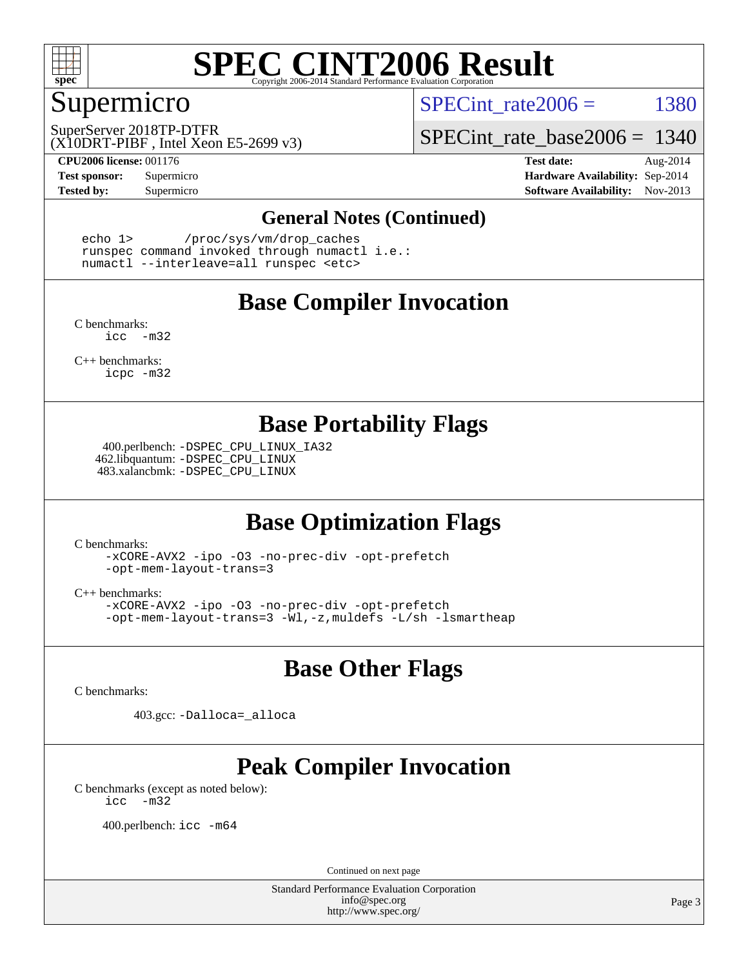

#### Supermicro

SPECint rate $2006 = 1380$ 

(X10DRT-PIBF , Intel Xeon E5-2699 v3) SuperServer 2018TP-DTFR

**[CPU2006 license:](http://www.spec.org/auto/cpu2006/Docs/result-fields.html#CPU2006license)** 001176 **[Test date:](http://www.spec.org/auto/cpu2006/Docs/result-fields.html#Testdate)** Aug-2014

[SPECint\\_rate\\_base2006 =](http://www.spec.org/auto/cpu2006/Docs/result-fields.html#SPECintratebase2006) 1340

**[Test sponsor:](http://www.spec.org/auto/cpu2006/Docs/result-fields.html#Testsponsor)** Supermicro Supermicro **[Hardware Availability:](http://www.spec.org/auto/cpu2006/Docs/result-fields.html#HardwareAvailability)** Sep-2014 **[Tested by:](http://www.spec.org/auto/cpu2006/Docs/result-fields.html#Testedby)** Supermicro **Supermicro [Software Availability:](http://www.spec.org/auto/cpu2006/Docs/result-fields.html#SoftwareAvailability)** Nov-2013

#### **[General Notes \(Continued\)](http://www.spec.org/auto/cpu2006/Docs/result-fields.html#GeneralNotes)**

 echo 1> /proc/sys/vm/drop\_caches runspec command invoked through numactl i.e.: numactl --interleave=all runspec <etc>

#### **[Base Compiler Invocation](http://www.spec.org/auto/cpu2006/Docs/result-fields.html#BaseCompilerInvocation)**

[C benchmarks](http://www.spec.org/auto/cpu2006/Docs/result-fields.html#Cbenchmarks): [icc -m32](http://www.spec.org/cpu2006/results/res2014q3/cpu2006-20140909-31411.flags.html#user_CCbase_intel_icc_5ff4a39e364c98233615fdd38438c6f2)

[C++ benchmarks:](http://www.spec.org/auto/cpu2006/Docs/result-fields.html#CXXbenchmarks) [icpc -m32](http://www.spec.org/cpu2006/results/res2014q3/cpu2006-20140909-31411.flags.html#user_CXXbase_intel_icpc_4e5a5ef1a53fd332b3c49e69c3330699)

#### **[Base Portability Flags](http://www.spec.org/auto/cpu2006/Docs/result-fields.html#BasePortabilityFlags)**

 400.perlbench: [-DSPEC\\_CPU\\_LINUX\\_IA32](http://www.spec.org/cpu2006/results/res2014q3/cpu2006-20140909-31411.flags.html#b400.perlbench_baseCPORTABILITY_DSPEC_CPU_LINUX_IA32) 462.libquantum: [-DSPEC\\_CPU\\_LINUX](http://www.spec.org/cpu2006/results/res2014q3/cpu2006-20140909-31411.flags.html#b462.libquantum_baseCPORTABILITY_DSPEC_CPU_LINUX) 483.xalancbmk: [-DSPEC\\_CPU\\_LINUX](http://www.spec.org/cpu2006/results/res2014q3/cpu2006-20140909-31411.flags.html#b483.xalancbmk_baseCXXPORTABILITY_DSPEC_CPU_LINUX)

#### **[Base Optimization Flags](http://www.spec.org/auto/cpu2006/Docs/result-fields.html#BaseOptimizationFlags)**

[C benchmarks](http://www.spec.org/auto/cpu2006/Docs/result-fields.html#Cbenchmarks):

[-xCORE-AVX2](http://www.spec.org/cpu2006/results/res2014q3/cpu2006-20140909-31411.flags.html#user_CCbase_f-xAVX2_5f5fc0cbe2c9f62c816d3e45806c70d7) [-ipo](http://www.spec.org/cpu2006/results/res2014q3/cpu2006-20140909-31411.flags.html#user_CCbase_f-ipo) [-O3](http://www.spec.org/cpu2006/results/res2014q3/cpu2006-20140909-31411.flags.html#user_CCbase_f-O3) [-no-prec-div](http://www.spec.org/cpu2006/results/res2014q3/cpu2006-20140909-31411.flags.html#user_CCbase_f-no-prec-div) [-opt-prefetch](http://www.spec.org/cpu2006/results/res2014q3/cpu2006-20140909-31411.flags.html#user_CCbase_f-opt-prefetch) [-opt-mem-layout-trans=3](http://www.spec.org/cpu2006/results/res2014q3/cpu2006-20140909-31411.flags.html#user_CCbase_f-opt-mem-layout-trans_a7b82ad4bd7abf52556d4961a2ae94d5)

[C++ benchmarks:](http://www.spec.org/auto/cpu2006/Docs/result-fields.html#CXXbenchmarks)

[-xCORE-AVX2](http://www.spec.org/cpu2006/results/res2014q3/cpu2006-20140909-31411.flags.html#user_CXXbase_f-xAVX2_5f5fc0cbe2c9f62c816d3e45806c70d7) [-ipo](http://www.spec.org/cpu2006/results/res2014q3/cpu2006-20140909-31411.flags.html#user_CXXbase_f-ipo) [-O3](http://www.spec.org/cpu2006/results/res2014q3/cpu2006-20140909-31411.flags.html#user_CXXbase_f-O3) [-no-prec-div](http://www.spec.org/cpu2006/results/res2014q3/cpu2006-20140909-31411.flags.html#user_CXXbase_f-no-prec-div) [-opt-prefetch](http://www.spec.org/cpu2006/results/res2014q3/cpu2006-20140909-31411.flags.html#user_CXXbase_f-opt-prefetch) [-opt-mem-layout-trans=3](http://www.spec.org/cpu2006/results/res2014q3/cpu2006-20140909-31411.flags.html#user_CXXbase_f-opt-mem-layout-trans_a7b82ad4bd7abf52556d4961a2ae94d5) [-Wl,-z,muldefs](http://www.spec.org/cpu2006/results/res2014q3/cpu2006-20140909-31411.flags.html#user_CXXbase_link_force_multiple1_74079c344b956b9658436fd1b6dd3a8a) [-L/sh -lsmartheap](http://www.spec.org/cpu2006/results/res2014q3/cpu2006-20140909-31411.flags.html#user_CXXbase_SmartHeap_32f6c82aa1ed9c52345d30cf6e4a0499)

#### **[Base Other Flags](http://www.spec.org/auto/cpu2006/Docs/result-fields.html#BaseOtherFlags)**

[C benchmarks](http://www.spec.org/auto/cpu2006/Docs/result-fields.html#Cbenchmarks):

403.gcc: [-Dalloca=\\_alloca](http://www.spec.org/cpu2006/results/res2014q3/cpu2006-20140909-31411.flags.html#b403.gcc_baseEXTRA_CFLAGS_Dalloca_be3056838c12de2578596ca5467af7f3)

### **[Peak Compiler Invocation](http://www.spec.org/auto/cpu2006/Docs/result-fields.html#PeakCompilerInvocation)**

[C benchmarks \(except as noted below\)](http://www.spec.org/auto/cpu2006/Docs/result-fields.html#Cbenchmarksexceptasnotedbelow): [icc -m32](http://www.spec.org/cpu2006/results/res2014q3/cpu2006-20140909-31411.flags.html#user_CCpeak_intel_icc_5ff4a39e364c98233615fdd38438c6f2)

400.perlbench: [icc -m64](http://www.spec.org/cpu2006/results/res2014q3/cpu2006-20140909-31411.flags.html#user_peakCCLD400_perlbench_intel_icc_64bit_bda6cc9af1fdbb0edc3795bac97ada53)

Continued on next page

Standard Performance Evaluation Corporation [info@spec.org](mailto:info@spec.org) <http://www.spec.org/>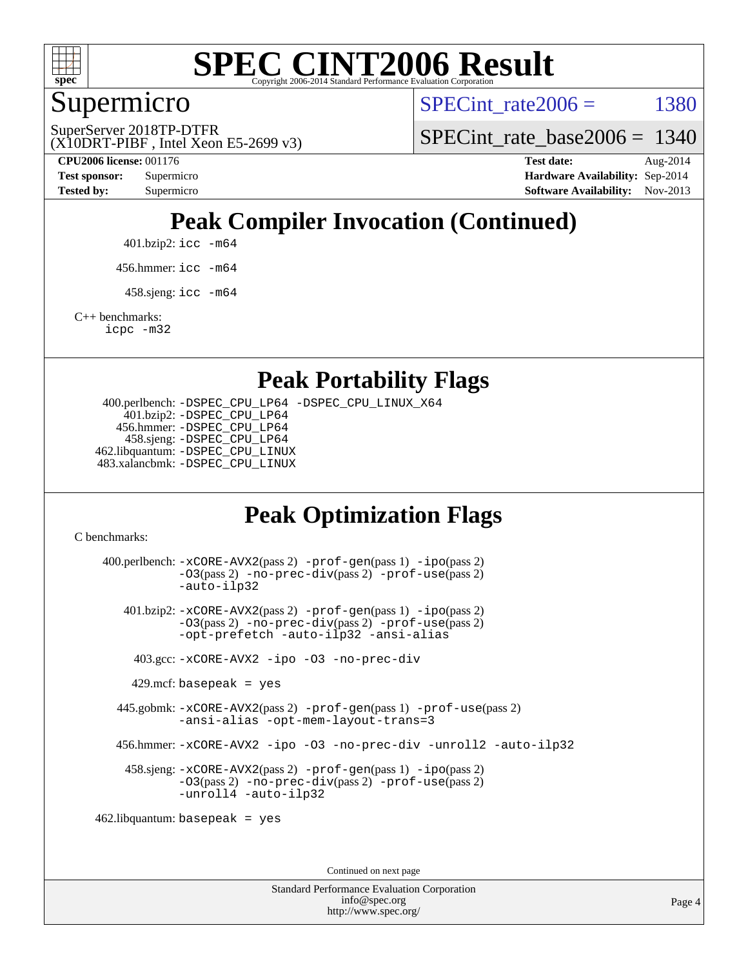

#### Supermicro

SPECint rate $2006 = 1380$ 

(X10DRT-PIBF , Intel Xeon E5-2699 v3) SuperServer 2018TP-DTFR

[SPECint\\_rate\\_base2006 =](http://www.spec.org/auto/cpu2006/Docs/result-fields.html#SPECintratebase2006) 1340

**[CPU2006 license:](http://www.spec.org/auto/cpu2006/Docs/result-fields.html#CPU2006license)** 001176 **[Test date:](http://www.spec.org/auto/cpu2006/Docs/result-fields.html#Testdate)** Aug-2014 **[Test sponsor:](http://www.spec.org/auto/cpu2006/Docs/result-fields.html#Testsponsor)** Supermicro Supermicro **[Hardware Availability:](http://www.spec.org/auto/cpu2006/Docs/result-fields.html#HardwareAvailability)** Sep-2014 **[Tested by:](http://www.spec.org/auto/cpu2006/Docs/result-fields.html#Testedby)** Supermicro **Supermicro [Software Availability:](http://www.spec.org/auto/cpu2006/Docs/result-fields.html#SoftwareAvailability)** Nov-2013

### **[Peak Compiler Invocation \(Continued\)](http://www.spec.org/auto/cpu2006/Docs/result-fields.html#PeakCompilerInvocation)**

401.bzip2: [icc -m64](http://www.spec.org/cpu2006/results/res2014q3/cpu2006-20140909-31411.flags.html#user_peakCCLD401_bzip2_intel_icc_64bit_bda6cc9af1fdbb0edc3795bac97ada53)

456.hmmer: [icc -m64](http://www.spec.org/cpu2006/results/res2014q3/cpu2006-20140909-31411.flags.html#user_peakCCLD456_hmmer_intel_icc_64bit_bda6cc9af1fdbb0edc3795bac97ada53)

 $458 \text{.}$ sjeng: icc  $-\text{m64}$ 

[C++ benchmarks:](http://www.spec.org/auto/cpu2006/Docs/result-fields.html#CXXbenchmarks)

[icpc -m32](http://www.spec.org/cpu2006/results/res2014q3/cpu2006-20140909-31411.flags.html#user_CXXpeak_intel_icpc_4e5a5ef1a53fd332b3c49e69c3330699)

#### **[Peak Portability Flags](http://www.spec.org/auto/cpu2006/Docs/result-fields.html#PeakPortabilityFlags)**

 400.perlbench: [-DSPEC\\_CPU\\_LP64](http://www.spec.org/cpu2006/results/res2014q3/cpu2006-20140909-31411.flags.html#b400.perlbench_peakCPORTABILITY_DSPEC_CPU_LP64) [-DSPEC\\_CPU\\_LINUX\\_X64](http://www.spec.org/cpu2006/results/res2014q3/cpu2006-20140909-31411.flags.html#b400.perlbench_peakCPORTABILITY_DSPEC_CPU_LINUX_X64) 401.bzip2: [-DSPEC\\_CPU\\_LP64](http://www.spec.org/cpu2006/results/res2014q3/cpu2006-20140909-31411.flags.html#suite_peakCPORTABILITY401_bzip2_DSPEC_CPU_LP64) 456.hmmer: [-DSPEC\\_CPU\\_LP64](http://www.spec.org/cpu2006/results/res2014q3/cpu2006-20140909-31411.flags.html#suite_peakCPORTABILITY456_hmmer_DSPEC_CPU_LP64) 458.sjeng: [-DSPEC\\_CPU\\_LP64](http://www.spec.org/cpu2006/results/res2014q3/cpu2006-20140909-31411.flags.html#suite_peakCPORTABILITY458_sjeng_DSPEC_CPU_LP64) 462.libquantum: [-DSPEC\\_CPU\\_LINUX](http://www.spec.org/cpu2006/results/res2014q3/cpu2006-20140909-31411.flags.html#b462.libquantum_peakCPORTABILITY_DSPEC_CPU_LINUX) 483.xalancbmk: [-DSPEC\\_CPU\\_LINUX](http://www.spec.org/cpu2006/results/res2014q3/cpu2006-20140909-31411.flags.html#b483.xalancbmk_peakCXXPORTABILITY_DSPEC_CPU_LINUX)

#### **[Peak Optimization Flags](http://www.spec.org/auto/cpu2006/Docs/result-fields.html#PeakOptimizationFlags)**

[C benchmarks](http://www.spec.org/auto/cpu2006/Docs/result-fields.html#Cbenchmarks):

 400.perlbench: [-xCORE-AVX2](http://www.spec.org/cpu2006/results/res2014q3/cpu2006-20140909-31411.flags.html#user_peakPASS2_CFLAGSPASS2_LDCFLAGS400_perlbench_f-xAVX2_5f5fc0cbe2c9f62c816d3e45806c70d7)(pass 2) [-prof-gen](http://www.spec.org/cpu2006/results/res2014q3/cpu2006-20140909-31411.flags.html#user_peakPASS1_CFLAGSPASS1_LDCFLAGS400_perlbench_prof_gen_e43856698f6ca7b7e442dfd80e94a8fc)(pass 1) [-ipo](http://www.spec.org/cpu2006/results/res2014q3/cpu2006-20140909-31411.flags.html#user_peakPASS2_CFLAGSPASS2_LDCFLAGS400_perlbench_f-ipo)(pass 2) [-O3](http://www.spec.org/cpu2006/results/res2014q3/cpu2006-20140909-31411.flags.html#user_peakPASS2_CFLAGSPASS2_LDCFLAGS400_perlbench_f-O3)(pass 2) [-no-prec-div](http://www.spec.org/cpu2006/results/res2014q3/cpu2006-20140909-31411.flags.html#user_peakPASS2_CFLAGSPASS2_LDCFLAGS400_perlbench_f-no-prec-div)(pass 2) [-prof-use](http://www.spec.org/cpu2006/results/res2014q3/cpu2006-20140909-31411.flags.html#user_peakPASS2_CFLAGSPASS2_LDCFLAGS400_perlbench_prof_use_bccf7792157ff70d64e32fe3e1250b55)(pass 2) [-auto-ilp32](http://www.spec.org/cpu2006/results/res2014q3/cpu2006-20140909-31411.flags.html#user_peakCOPTIMIZE400_perlbench_f-auto-ilp32) 401.bzip2: [-xCORE-AVX2](http://www.spec.org/cpu2006/results/res2014q3/cpu2006-20140909-31411.flags.html#user_peakPASS2_CFLAGSPASS2_LDCFLAGS401_bzip2_f-xAVX2_5f5fc0cbe2c9f62c816d3e45806c70d7)(pass 2) [-prof-gen](http://www.spec.org/cpu2006/results/res2014q3/cpu2006-20140909-31411.flags.html#user_peakPASS1_CFLAGSPASS1_LDCFLAGS401_bzip2_prof_gen_e43856698f6ca7b7e442dfd80e94a8fc)(pass 1) [-ipo](http://www.spec.org/cpu2006/results/res2014q3/cpu2006-20140909-31411.flags.html#user_peakPASS2_CFLAGSPASS2_LDCFLAGS401_bzip2_f-ipo)(pass 2) [-O3](http://www.spec.org/cpu2006/results/res2014q3/cpu2006-20140909-31411.flags.html#user_peakPASS2_CFLAGSPASS2_LDCFLAGS401_bzip2_f-O3)(pass 2) [-no-prec-div](http://www.spec.org/cpu2006/results/res2014q3/cpu2006-20140909-31411.flags.html#user_peakPASS2_CFLAGSPASS2_LDCFLAGS401_bzip2_f-no-prec-div)(pass 2) [-prof-use](http://www.spec.org/cpu2006/results/res2014q3/cpu2006-20140909-31411.flags.html#user_peakPASS2_CFLAGSPASS2_LDCFLAGS401_bzip2_prof_use_bccf7792157ff70d64e32fe3e1250b55)(pass 2) [-opt-prefetch](http://www.spec.org/cpu2006/results/res2014q3/cpu2006-20140909-31411.flags.html#user_peakCOPTIMIZE401_bzip2_f-opt-prefetch) [-auto-ilp32](http://www.spec.org/cpu2006/results/res2014q3/cpu2006-20140909-31411.flags.html#user_peakCOPTIMIZE401_bzip2_f-auto-ilp32) [-ansi-alias](http://www.spec.org/cpu2006/results/res2014q3/cpu2006-20140909-31411.flags.html#user_peakCOPTIMIZE401_bzip2_f-ansi-alias) 403.gcc: [-xCORE-AVX2](http://www.spec.org/cpu2006/results/res2014q3/cpu2006-20140909-31411.flags.html#user_peakCOPTIMIZE403_gcc_f-xAVX2_5f5fc0cbe2c9f62c816d3e45806c70d7) [-ipo](http://www.spec.org/cpu2006/results/res2014q3/cpu2006-20140909-31411.flags.html#user_peakCOPTIMIZE403_gcc_f-ipo) [-O3](http://www.spec.org/cpu2006/results/res2014q3/cpu2006-20140909-31411.flags.html#user_peakCOPTIMIZE403_gcc_f-O3) [-no-prec-div](http://www.spec.org/cpu2006/results/res2014q3/cpu2006-20140909-31411.flags.html#user_peakCOPTIMIZE403_gcc_f-no-prec-div)  $429$ .mcf: basepeak = yes 445.gobmk: [-xCORE-AVX2](http://www.spec.org/cpu2006/results/res2014q3/cpu2006-20140909-31411.flags.html#user_peakPASS2_CFLAGSPASS2_LDCFLAGS445_gobmk_f-xAVX2_5f5fc0cbe2c9f62c816d3e45806c70d7)(pass 2) [-prof-gen](http://www.spec.org/cpu2006/results/res2014q3/cpu2006-20140909-31411.flags.html#user_peakPASS1_CFLAGSPASS1_LDCFLAGS445_gobmk_prof_gen_e43856698f6ca7b7e442dfd80e94a8fc)(pass 1) [-prof-use](http://www.spec.org/cpu2006/results/res2014q3/cpu2006-20140909-31411.flags.html#user_peakPASS2_CFLAGSPASS2_LDCFLAGS445_gobmk_prof_use_bccf7792157ff70d64e32fe3e1250b55)(pass 2) [-ansi-alias](http://www.spec.org/cpu2006/results/res2014q3/cpu2006-20140909-31411.flags.html#user_peakCOPTIMIZE445_gobmk_f-ansi-alias) [-opt-mem-layout-trans=3](http://www.spec.org/cpu2006/results/res2014q3/cpu2006-20140909-31411.flags.html#user_peakCOPTIMIZE445_gobmk_f-opt-mem-layout-trans_a7b82ad4bd7abf52556d4961a2ae94d5) 456.hmmer: [-xCORE-AVX2](http://www.spec.org/cpu2006/results/res2014q3/cpu2006-20140909-31411.flags.html#user_peakCOPTIMIZE456_hmmer_f-xAVX2_5f5fc0cbe2c9f62c816d3e45806c70d7) [-ipo](http://www.spec.org/cpu2006/results/res2014q3/cpu2006-20140909-31411.flags.html#user_peakCOPTIMIZE456_hmmer_f-ipo) [-O3](http://www.spec.org/cpu2006/results/res2014q3/cpu2006-20140909-31411.flags.html#user_peakCOPTIMIZE456_hmmer_f-O3) [-no-prec-div](http://www.spec.org/cpu2006/results/res2014q3/cpu2006-20140909-31411.flags.html#user_peakCOPTIMIZE456_hmmer_f-no-prec-div) [-unroll2](http://www.spec.org/cpu2006/results/res2014q3/cpu2006-20140909-31411.flags.html#user_peakCOPTIMIZE456_hmmer_f-unroll_784dae83bebfb236979b41d2422d7ec2) [-auto-ilp32](http://www.spec.org/cpu2006/results/res2014q3/cpu2006-20140909-31411.flags.html#user_peakCOPTIMIZE456_hmmer_f-auto-ilp32) 458.sjeng: [-xCORE-AVX2](http://www.spec.org/cpu2006/results/res2014q3/cpu2006-20140909-31411.flags.html#user_peakPASS2_CFLAGSPASS2_LDCFLAGS458_sjeng_f-xAVX2_5f5fc0cbe2c9f62c816d3e45806c70d7)(pass 2) [-prof-gen](http://www.spec.org/cpu2006/results/res2014q3/cpu2006-20140909-31411.flags.html#user_peakPASS1_CFLAGSPASS1_LDCFLAGS458_sjeng_prof_gen_e43856698f6ca7b7e442dfd80e94a8fc)(pass 1) [-ipo](http://www.spec.org/cpu2006/results/res2014q3/cpu2006-20140909-31411.flags.html#user_peakPASS2_CFLAGSPASS2_LDCFLAGS458_sjeng_f-ipo)(pass 2) [-O3](http://www.spec.org/cpu2006/results/res2014q3/cpu2006-20140909-31411.flags.html#user_peakPASS2_CFLAGSPASS2_LDCFLAGS458_sjeng_f-O3)(pass 2) [-no-prec-div](http://www.spec.org/cpu2006/results/res2014q3/cpu2006-20140909-31411.flags.html#user_peakPASS2_CFLAGSPASS2_LDCFLAGS458_sjeng_f-no-prec-div)(pass 2) [-prof-use](http://www.spec.org/cpu2006/results/res2014q3/cpu2006-20140909-31411.flags.html#user_peakPASS2_CFLAGSPASS2_LDCFLAGS458_sjeng_prof_use_bccf7792157ff70d64e32fe3e1250b55)(pass 2) [-unroll4](http://www.spec.org/cpu2006/results/res2014q3/cpu2006-20140909-31411.flags.html#user_peakCOPTIMIZE458_sjeng_f-unroll_4e5e4ed65b7fd20bdcd365bec371b81f) [-auto-ilp32](http://www.spec.org/cpu2006/results/res2014q3/cpu2006-20140909-31411.flags.html#user_peakCOPTIMIZE458_sjeng_f-auto-ilp32) 462.libquantum: basepeak = yes

Continued on next page

Standard Performance Evaluation Corporation [info@spec.org](mailto:info@spec.org) <http://www.spec.org/>